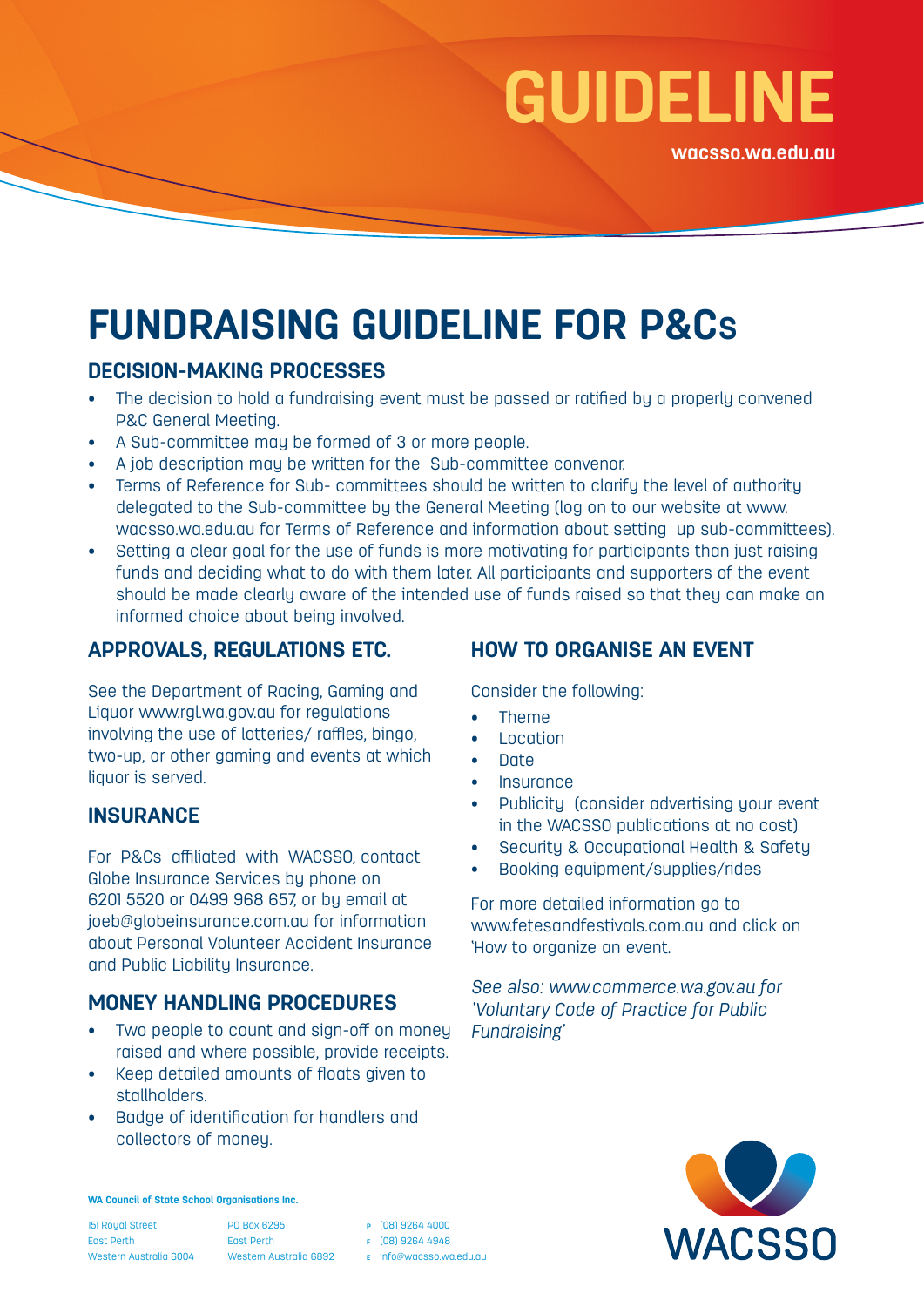# **GUIDELINE**

**wacsso.wa.edu.au**

## **FUNDRAISING GUIDELINE FOR P&CS**

#### **DECISION-MAKING PROCESSES**

- The decision to hold a fundraising event must be passed or ratified by a properly convened P&C General Meeting.
- A Sub-committee may be formed of 3 or more people.
- A job description may be written for the Sub-committee convenor.
- Terms of Reference for Sub- committees should be written to clarify the level of authority delegated to the Sub-committee by the General Meeting (log on to our website at www. wacsso.wa.edu.au for Terms of Reference and information about setting up sub-committees).
- Setting a clear goal for the use of funds is more motivating for participants than just raising funds and deciding what to do with them later. All participants and supporters of the event should be made clearly aware of the intended use of funds raised so that they can make an informed choice about being involved.

#### **APPROVALS, REGULATIONS ETC.**

See the Department of Racing, Gaming and Liquor www.rgl.wa.gov.au for regulations involving the use of lotteries/ raffles, bingo, two-up, or other gaming and events at which liquor is served.

#### **INSURANCE**

For P&Cs affiliated with WACSSO, contact Globe Insurance Services by phone on 6201 5520 or 0499 968 657, or by email at joeb@globeinsurance.com.au for information about Personal Volunteer Accident Insurance and Public Liability Insurance.

#### **MONEY HANDLING PROCEDURES**

- Two people to count and sign-off on money raised and where possible, provide receipts.
- Keep detailed amounts of floats given to stallholders.
- Badge of identification for handlers and collectors of money.

#### **HOW TO ORGANISE AN EVENT**

Consider the following:

- Theme
- **Location**
- Date
- **Insurance**
- Publicity (consider advertising your event in the WACSSO publications at no cost)
- Security & Occupational Health & Safety
- Booking equipment/supplies/rides

For more detailed information go to www.fetesandfestivals.com.au and click on 'How to organize an event.

*See also: www.commerce.wa.gov.au for 'Voluntary Code of Practice for Public Fundraising'*



**WA Council of State School Organisations Inc.**

151 Royal Street East Perth Western Australia 6004

PO Box 6295 East Perth Western Australia 6892 **<sup>p</sup>** (08) 9264 4000 **<sup>f</sup>** (08) 9264 4948

**e** info@wacsso.wa.edu.au